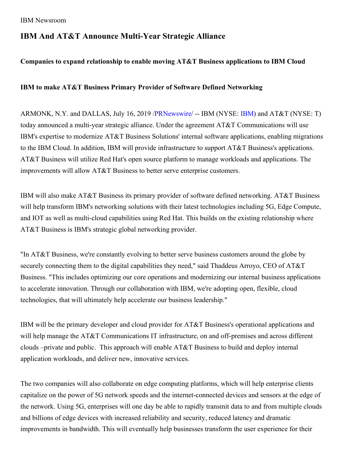# **IBM And AT&T Announce Multi-Year Strategic Alliance**

## **Companies to expand relationship to enable moving AT&T Business applications to IBM Cloud**

### **IBM to make AT&T Business Primary Provider of Software Defined Networking**

ARMONK, N.Y. and DALLAS, July 16, 2019 [/PRNewswire](http://www.prnewswire.com/)/ -- IBM (NYSE: [IBM](https://c212.net/c/link/?t=0&l=en&o=2525471-1&h=1669688407&u=http%3A%2F%2Fwww.ibm.com%2Finvestor&a=IBM)) and AT&T (NYSE: T) today announced a multi-year strategic alliance. Under the agreement AT&T Communications will use IBM's expertise to modernize AT&T Business Solutions' internal software applications, enabling migrations to the IBM Cloud. In addition, IBM will provide infrastructure to support AT&T Business's applications. AT&T Business will utilize Red Hat's open source platform to manage workloads and applications. The improvements will allow AT&T Business to better serve enterprise customers.

IBM will also make AT&T Business its primary provider of software defined networking. AT&T Business will help transform IBM's networking solutions with their latest technologies including 5G, Edge Compute, and IOT as well as multi-cloud capabilities using Red Hat. This builds on the existing relationship where AT&T Business is IBM's strategic global networking provider.

"In AT&T Business, we're constantly evolving to better serve business customers around the globe by securely connecting them to the digital capabilities they need," said Thaddeus Arroyo, CEO of AT&T Business. "This includes optimizing our core operations and modernizing our internal business applications to accelerate innovation. Through our collaboration with IBM, we're adopting open, flexible, cloud technologies, that will ultimately help accelerate our business leadership."

IBM will be the primary developer and cloud provider for AT&T Business's operational applications and will help manage the AT&T Communications IT infrastructure, on and off-premises and across different clouds –private and public. This approach will enable AT&T Business to build and deploy internal application workloads, and deliver new, innovative services.

The two companies will also collaborate on edge computing platforms, which will help enterprise clients capitalize on the power of 5G network speeds and the internet-connected devices and sensors at the edge of the network. Using 5G, enterprises will one day be able to rapidly transmit data to and from multiple clouds and billions of edge devices with increased reliability and security, reduced latency and dramatic improvements in bandwidth. This will eventually help businesses transform the user experience for their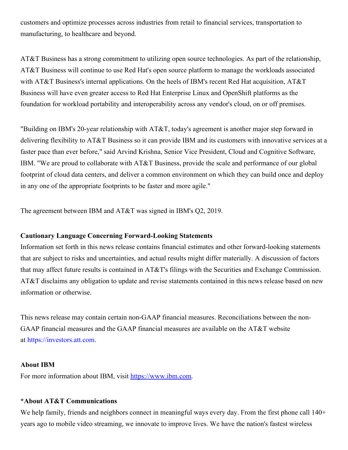customers and optimize processes across industries from retail to financial services, transportation to manufacturing, to healthcare and beyond.

AT&T Business has a strong commitment to utilizing open source technologies. As part of the relationship, AT&T Business will continue to use Red Hat's open source platform to manage the workloads associated with AT&T Business's internal applications. On the heels of IBM's recent Red Hat acquisition, AT&T Business will have even greater access to Red Hat Enterprise Linux and OpenShift platforms as the foundation for workload portability and interoperability across any vendor's cloud, on or off premises.

"Building on IBM's 20-year relationship with AT&T, today's agreement is another major step forward in delivering flexibility to AT&T Business so it can provide IBM and its customers with innovative services at a faster pace than ever before," said Arvind Krishna, Senior Vice President, Cloud and Cognitive Software, IBM. "We are proud to collaborate with AT&T Business, provide the scale and performance of our global footprint of cloud data centers, and deliver a common environment on which they can build once and deploy in any one of the appropriate footprints to be faster and more agile."

The agreement between IBM and AT&T was signed in IBM's Q2, 2019.

#### **Cautionary Language Concerning Forward-Looking Statements**

Information set forth in this news release contains financial estimates and other forward-looking statements that are subject to risks and uncertainties, and actual results might differ materially. A discussion of factors that may affect future results is contained in AT&T's filings with the Securities and Exchange Commission. AT&T disclaims any obligation to update and revise statements contained in this news release based on new information or otherwise.

This news release may contain certain non-GAAP financial measures. Reconciliations between the non-GAAP financial measures and the GAAP financial measures are available on the AT&T website at [https://investors.att.com](https://c212.net/c/link/?t=0&l=en&o=2525471-1&h=2920193801&u=https%3A%2F%2Finvestors.att.com%2F&a=https%3A%2F%2Finvestors.att.com).

#### **About IBM**

For more information about IBM, visit [https://www.ibm.com](https://c212.net/c/link/?t=0&l=en&o=2525471-1&h=1090262016&u=https%3A%2F%2Fwww.ibm.com%2F&a=https%3A%2F%2Fwww.ibm.com).

## **\*About AT&T Communications**

We help family, friends and neighbors connect in meaningful ways every day. From the first phone call 140+ years ago to mobile video streaming, we innovate to improve lives. We have the nation's fastest wireless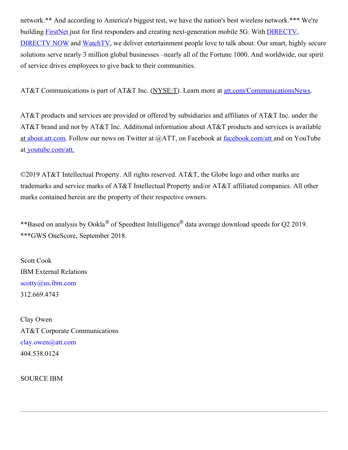network.\*\* And according to America's biggest test, we have the nation's best wireless network.\*\*\* We're building [FirstNet](https://c212.net/c/link/?t=0&l=en&o=2525471-1&h=1823436740&u=https%3A%2F%2Fwww.firstnet.com%2F&a=FirstNet) just for first responders and creating next-generation mobile 5G. With [DIRECTV](https://c212.net/c/link/?t=0&l=en&o=2525471-1&h=1384389811&u=https%3A%2F%2Fwww.directv.com%2F&a=DIRECTV), [DIRECTV](https://c212.net/c/link/?t=0&l=en&o=2525471-1&h=3928143526&u=https%3A%2F%2Fwww.directvnow.com%2F&a=DIRECTV+NOW) NOW and [WatchTV](https://c212.net/c/link/?t=0&l=en&o=2525471-1&h=1433228949&u=https%3A%2F%2Fwww.attwatchtv.com%2F&a=WatchTV), we deliver entertainment people love to talk about. Our smart, highly secure solutions serve nearly 3 million global businesses –nearly all of the Fortune 1000. And worldwide, our spirit of service drives employees to give back to their communities.

AT&T Communications is part of AT&T Inc. (NYSE:T). Learn more at [att.com/CommunicationsNews](https://c212.net/c/link/?t=0&l=en&o=2525471-1&h=2627808330&u=https%3A%2F%2Fabout.att.com%2Fcategory%2Fatt_communications_news&a=att.com%2FCommunicationsNews).

AT&T products and services are provided or offered by subsidiaries and affiliates of AT&T Inc. under the AT&T brand and not by AT&T Inc. Additional information about AT&T products and services is available at [about.att.com](https://c212.net/c/link/?t=0&l=en&o=2525471-1&h=1586048871&u=https%3A%2F%2Fabout.att.com%2Fcategory%2Fall_news.html&a=about.att.com). Follow our news on Twitter at @ATT, on Facebook at [facebook.com/att](https://c212.net/c/link/?t=0&l=en&o=2525471-1&h=2136188222&u=http%3A%2F%2Fwww.facebook.com%2Fatt&a=facebook.com%2Fatt) and on YouTube at [youtube.com/att](https://c212.net/c/link/?t=0&l=en&o=2525471-1&h=2107508321&u=http%3A%2F%2Fwww.youtube.com%2Fatt&a=youtube.com%2Fatt).

©2019 AT&T Intellectual Property. All rights reserved. AT&T, the Globe logo and other marks are trademarks and service marks of AT&T Intellectual Property and/or AT&T affiliated companies. All other marks contained herein are the property of their respective owners.

\*\*Based on analysis by Ookla® of Speedtest Intelligence® data average download speeds for Q2 2019. \*\*\*GWS OneScore, September 2018.

Scott Cook IBM External Relations [scotty@us.ibm.com](mailto:scotty@us.ibm.com) 312.669.4743

Clay Owen AT&T Corporate Communications [clay.owen@att.com](mailto:clay.owen@att.com) 404.538.0124

SOURCE IBM